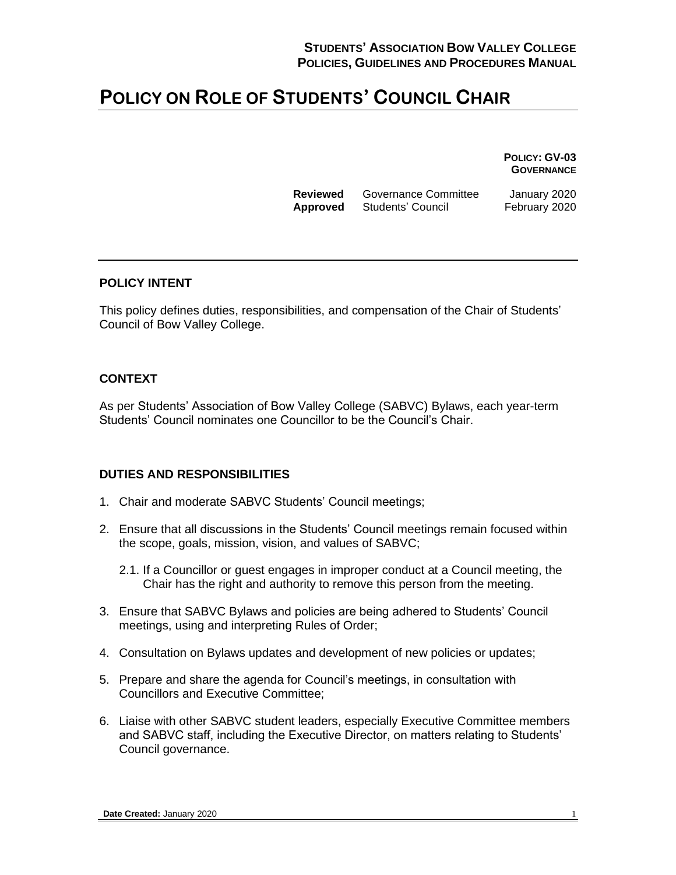# **POLICY ON ROLE OF STUDENTS' COUNCIL CHAIR**

**POLICY: GV-03 GOVERNANCE**

**Reviewed** Governance Committee January 2020 **Approved** Students' Council February 2020

#### **POLICY INTENT**

This policy defines duties, responsibilities, and compensation of the Chair of Students' Council of Bow Valley College.

### **CONTEXT**

As per Students' Association of Bow Valley College (SABVC) Bylaws, each year-term Students' Council nominates one Councillor to be the Council's Chair.

# **DUTIES AND RESPONSIBILITIES**

- 1. Chair and moderate SABVC Students' Council meetings;
- 2. Ensure that all discussions in the Students' Council meetings remain focused within the scope, goals, mission, vision, and values of SABVC;
	- 2.1. If a Councillor or guest engages in improper conduct at a Council meeting, the Chair has the right and authority to remove this person from the meeting.
- 3. Ensure that SABVC Bylaws and policies are being adhered to Students' Council meetings, using and interpreting Rules of Order;
- 4. Consultation on Bylaws updates and development of new policies or updates;
- 5. Prepare and share the agenda for Council's meetings, in consultation with Councillors and Executive Committee;
- 6. Liaise with other SABVC student leaders, especially Executive Committee members and SABVC staff, including the Executive Director, on matters relating to Students' Council governance.